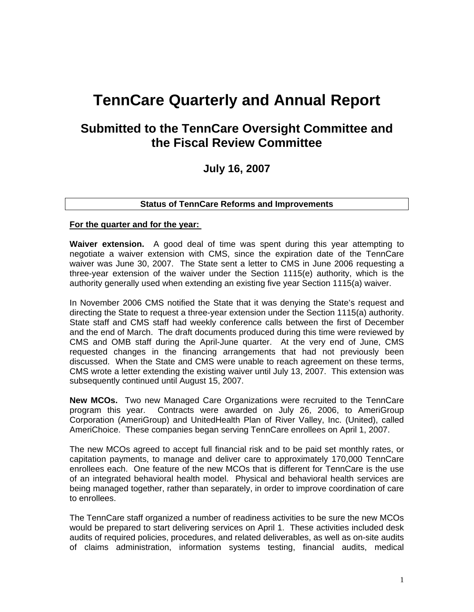# **TennCare Quarterly and Annual Report**

## **Submitted to the TennCare Oversight Committee and the Fiscal Review Committee**

### **July 16, 2007**

#### **Status of TennCare Reforms and Improvements**

#### **For the quarter and for the year:**

**Waiver extension.** A good deal of time was spent during this year attempting to negotiate a waiver extension with CMS, since the expiration date of the TennCare waiver was June 30, 2007. The State sent a letter to CMS in June 2006 requesting a three-year extension of the waiver under the Section 1115(e) authority, which is the authority generally used when extending an existing five year Section 1115(a) waiver.

In November 2006 CMS notified the State that it was denying the State's request and directing the State to request a three-year extension under the Section 1115(a) authority. State staff and CMS staff had weekly conference calls between the first of December and the end of March. The draft documents produced during this time were reviewed by CMS and OMB staff during the April-June quarter. At the very end of June, CMS requested changes in the financing arrangements that had not previously been discussed. When the State and CMS were unable to reach agreement on these terms, CMS wrote a letter extending the existing waiver until July 13, 2007. This extension was subsequently continued until August 15, 2007.

**New MCOs.** Two new Managed Care Organizations were recruited to the TennCare program this year. Contracts were awarded on July 26, 2006, to AmeriGroup Corporation (AmeriGroup) and UnitedHealth Plan of River Valley, Inc. (United), called AmeriChoice. These companies began serving TennCare enrollees on April 1, 2007.

The new MCOs agreed to accept full financial risk and to be paid set monthly rates, or capitation payments, to manage and deliver care to approximately 170,000 TennCare enrollees each. One feature of the new MCOs that is different for TennCare is the use of an integrated behavioral health model. Physical and behavioral health services are being managed together, rather than separately, in order to improve coordination of care to enrollees.

The TennCare staff organized a number of readiness activities to be sure the new MCOs would be prepared to start delivering services on April 1. These activities included desk audits of required policies, procedures, and related deliverables, as well as on-site audits of claims administration, information systems testing, financial audits, medical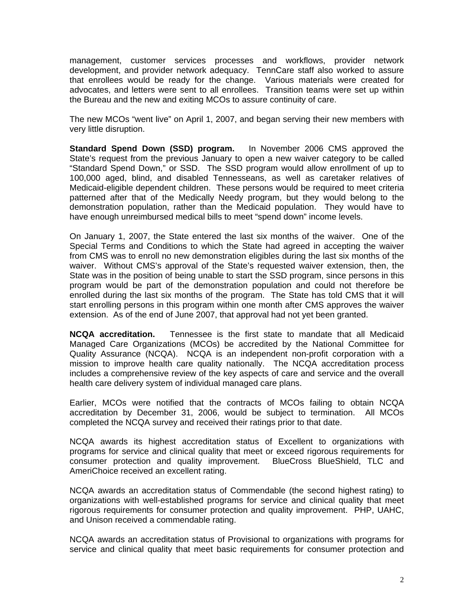management, customer services processes and workflows, provider network development, and provider network adequacy. TennCare staff also worked to assure that enrollees would be ready for the change. Various materials were created for advocates, and letters were sent to all enrollees. Transition teams were set up within the Bureau and the new and exiting MCOs to assure continuity of care.

The new MCOs "went live" on April 1, 2007, and began serving their new members with very little disruption.

**Standard Spend Down (SSD) program.** In November 2006 CMS approved the State's request from the previous January to open a new waiver category to be called "Standard Spend Down," or SSD. The SSD program would allow enrollment of up to 100,000 aged, blind, and disabled Tennesseans, as well as caretaker relatives of Medicaid-eligible dependent children. These persons would be required to meet criteria patterned after that of the Medically Needy program, but they would belong to the demonstration population, rather than the Medicaid population. They would have to have enough unreimbursed medical bills to meet "spend down" income levels.

On January 1, 2007, the State entered the last six months of the waiver. One of the Special Terms and Conditions to which the State had agreed in accepting the waiver from CMS was to enroll no new demonstration eligibles during the last six months of the waiver. Without CMS's approval of the State's requested waiver extension, then, the State was in the position of being unable to start the SSD program, since persons in this program would be part of the demonstration population and could not therefore be enrolled during the last six months of the program. The State has told CMS that it will start enrolling persons in this program within one month after CMS approves the waiver extension. As of the end of June 2007, that approval had not yet been granted.

**NCQA accreditation.** Tennessee is the first state to mandate that all Medicaid Managed Care Organizations (MCOs) be accredited by the National Committee for Quality Assurance (NCQA). NCQA is an independent non-profit corporation with a mission to improve health care quality nationally. The NCQA accreditation process includes a comprehensive review of the key aspects of care and service and the overall health care delivery system of individual managed care plans.

Earlier, MCOs were notified that the contracts of MCOs failing to obtain NCQA accreditation by December 31, 2006, would be subject to termination. All MCOs completed the NCQA survey and received their ratings prior to that date.

NCQA awards its highest accreditation status of Excellent to organizations with programs for service and clinical quality that meet or exceed rigorous requirements for consumer protection and quality improvement. BlueCross BlueShield, TLC and AmeriChoice received an excellent rating.

NCQA awards an accreditation status of Commendable (the second highest rating) to organizations with well-established programs for service and clinical quality that meet rigorous requirements for consumer protection and quality improvement. PHP, UAHC, and Unison received a commendable rating.

NCQA awards an accreditation status of Provisional to organizations with programs for service and clinical quality that meet basic requirements for consumer protection and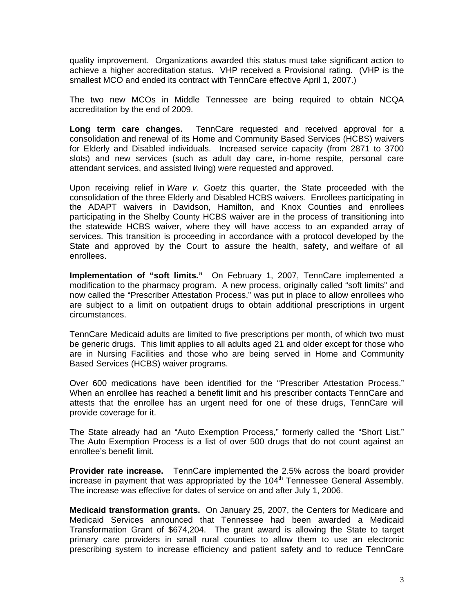quality improvement. Organizations awarded this status must take significant action to achieve a higher accreditation status. VHP received a Provisional rating. (VHP is the smallest MCO and ended its contract with TennCare effective April 1, 2007.)

The two new MCOs in Middle Tennessee are being required to obtain NCQA accreditation by the end of 2009.

**Long term care changes.** TennCare requested and received approval for a consolidation and renewal of its Home and Community Based Services (HCBS) waivers for Elderly and Disabled individuals. Increased service capacity (from 2871 to 3700 slots) and new services (such as adult day care, in-home respite, personal care attendant services, and assisted living) were requested and approved.

Upon receiving relief in *Ware v. Goetz* this quarter, the State proceeded with the consolidation of the three Elderly and Disabled HCBS waivers. Enrollees participating in the ADAPT waivers in Davidson, Hamilton, and Knox Counties and enrollees participating in the Shelby County HCBS waiver are in the process of transitioning into the statewide HCBS waiver, where they will have access to an expanded array of services. This transition is proceeding in accordance with a protocol developed by the State and approved by the Court to assure the health, safety, and welfare of all enrollees.

**Implementation of "soft limits."** On February 1, 2007, TennCare implemented a modification to the pharmacy program. A new process, originally called "soft limits" and now called the "Prescriber Attestation Process," was put in place to allow enrollees who are subject to a limit on outpatient drugs to obtain additional prescriptions in urgent circumstances.

TennCare Medicaid adults are limited to five prescriptions per month, of which two must be generic drugs. This limit applies to all adults aged 21 and older except for those who are in Nursing Facilities and those who are being served in Home and Community Based Services (HCBS) waiver programs.

Over 600 medications have been identified for the "Prescriber Attestation Process." When an enrollee has reached a benefit limit and his prescriber contacts TennCare and attests that the enrollee has an urgent need for one of these drugs, TennCare will provide coverage for it.

The State already had an "Auto Exemption Process," formerly called the "Short List." The Auto Exemption Process is a list of over 500 drugs that do not count against an enrollee's benefit limit.

**Provider rate increase.** TennCare implemented the 2.5% across the board provider increase in payment that was appropriated by the  $104<sup>th</sup>$  Tennessee General Assembly. The increase was effective for dates of service on and after July 1, 2006.

**Medicaid transformation grants.** On January 25, 2007, the Centers for Medicare and Medicaid Services announced that Tennessee had been awarded a Medicaid Transformation Grant of \$674,204. The grant award is allowing the State to target primary care providers in small rural counties to allow them to use an electronic prescribing system to increase efficiency and patient safety and to reduce TennCare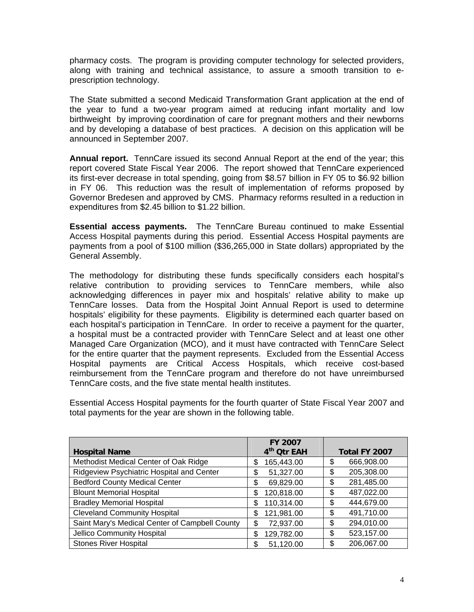pharmacy costs. The program is providing computer technology for selected providers, along with training and technical assistance, to assure a smooth transition to eprescription technology.

The State submitted a second Medicaid Transformation Grant application at the end of the year to fund a two-year program aimed at reducing infant mortality and low birthweight by improving coordination of care for pregnant mothers and their newborns and by developing a database of best practices. A decision on this application will be announced in September 2007.

**Annual report.** TennCare issued its second Annual Report at the end of the year; this report covered State Fiscal Year 2006. The report showed that TennCare experienced its first-ever decrease in total spending, going from \$8.57 billion in FY 05 to \$6.92 billion in FY 06. This reduction was the result of implementation of reforms proposed by Governor Bredesen and approved by CMS. Pharmacy reforms resulted in a reduction in expenditures from \$2.45 billion to \$1.22 billion.

**Essential access payments.** The TennCare Bureau continued to make Essential Access Hospital payments during this period. Essential Access Hospital payments are payments from a pool of \$100 million (\$36,265,000 in State dollars) appropriated by the General Assembly.

The methodology for distributing these funds specifically considers each hospital's relative contribution to providing services to TennCare members, while also acknowledging differences in payer mix and hospitals' relative ability to make up TennCare losses. Data from the Hospital Joint Annual Report is used to determine hospitals' eligibility for these payments. Eligibility is determined each quarter based on each hospital's participation in TennCare. In order to receive a payment for the quarter, a hospital must be a contracted provider with TennCare Select and at least one other Managed Care Organization (MCO), and it must have contracted with TennCare Select for the entire quarter that the payment represents. Excluded from the Essential Access Hospital payments are Critical Access Hospitals, which receive cost-based reimbursement from the TennCare program and therefore do not have unreimbursed TennCare costs, and the five state mental health institutes.

Essential Access Hospital payments for the fourth quarter of State Fiscal Year 2007 and total payments for the year are shown in the following table.

|                                                | <b>FY 2007</b>          |                  |
|------------------------------------------------|-------------------------|------------------|
| <b>Hospital Name</b>                           | 4 <sup>th</sup> Otr EAH | Total FY 2007    |
| Methodist Medical Center of Oak Ridge          | 165,443.00<br>\$        | 666,908.00<br>\$ |
| Ridgeview Psychiatric Hospital and Center      | 51,327.00<br>\$         | 205,308.00<br>\$ |
| <b>Bedford County Medical Center</b>           | 69,829.00<br>S          | 281,485.00<br>\$ |
| <b>Blount Memorial Hospital</b>                | 120,818.00<br>\$        | 487,022.00<br>\$ |
| <b>Bradley Memorial Hospital</b>               | 110,314.00<br>\$        | 444,679.00<br>\$ |
| <b>Cleveland Community Hospital</b>            | 121,981.00<br>S         | 491,710.00<br>\$ |
| Saint Mary's Medical Center of Campbell County | 72,937.00<br>\$         | \$<br>294,010.00 |
| Jellico Community Hospital                     | 129,782.00<br>\$        | 523,157.00<br>\$ |
| <b>Stones River Hospital</b>                   | 51,120.00               | 206,067.00<br>\$ |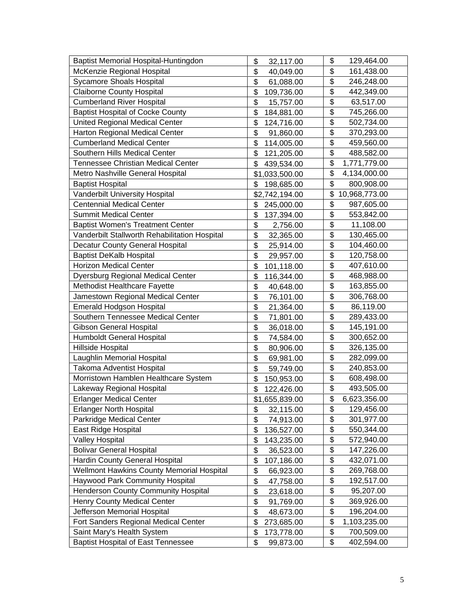| Baptist Memorial Hospital-Huntingdon          | \$<br>32,117.00  | \$<br>129,464.00                        |
|-----------------------------------------------|------------------|-----------------------------------------|
| McKenzie Regional Hospital                    | \$<br>40,049.00  | \$<br>161,438.00                        |
| <b>Sycamore Shoals Hospital</b>               | \$<br>61,088.00  | \$<br>246,248.00                        |
| <b>Claiborne County Hospital</b>              | \$<br>109,736.00 | \$<br>442,349.00                        |
| <b>Cumberland River Hospital</b>              | \$<br>15,757.00  | \$<br>63,517.00                         |
| <b>Baptist Hospital of Cocke County</b>       | \$<br>184,881.00 | \$<br>745,266.00                        |
| <b>United Regional Medical Center</b>         | \$<br>124,716.00 | \$<br>502,734.00                        |
| Harton Regional Medical Center                | \$<br>91,860.00  | \$<br>370,293.00                        |
| <b>Cumberland Medical Center</b>              | \$<br>114,005.00 | \$<br>459,560.00                        |
| Southern Hills Medical Center                 | \$<br>121,205.00 | $\overline{\mathbf{S}}$<br>488,582.00   |
| <b>Tennessee Christian Medical Center</b>     | \$<br>439,534.00 | \$<br>1,771,779.00                      |
| Metro Nashville General Hospital              | \$1,033,500.00   | \$<br>4,134,000.00                      |
| <b>Baptist Hospital</b>                       | \$<br>198,685.00 | \$<br>800,908.00                        |
| Vanderbilt University Hospital                | \$2,742,194.00   | \$<br>10,968,773.00                     |
| <b>Centennial Medical Center</b>              | \$<br>245,000.00 | \$<br>987,605.00                        |
| <b>Summit Medical Center</b>                  | \$<br>137,394.00 | \$<br>553,842.00                        |
| <b>Baptist Women's Treatment Center</b>       | \$<br>2,756.00   | \$<br>11,108.00                         |
| Vanderbilt Stallworth Rehabilitation Hospital | \$<br>32,365.00  | \$<br>130,465.00                        |
| <b>Decatur County General Hospital</b>        | \$<br>25,914.00  | $\overline{\mathbf{S}}$<br>104,460.00   |
| <b>Baptist DeKalb Hospital</b>                | \$<br>29,957.00  | \$<br>120,758.00                        |
| <b>Horizon Medical Center</b>                 | \$<br>101,118.00 | \$<br>407,610.00                        |
| Dyersburg Regional Medical Center             | \$<br>116,344.00 | \$<br>468,988.00                        |
| Methodist Healthcare Fayette                  | \$<br>40,648.00  | \$<br>163,855.00                        |
| Jamestown Regional Medical Center             | \$<br>76,101.00  | $\overline{\mathfrak{s}}$<br>306,768.00 |
| <b>Emerald Hodgson Hospital</b>               | \$<br>21,364.00  | \$<br>86,119.00                         |
| Southern Tennessee Medical Center             | \$<br>71,801.00  | \$<br>289,433.00                        |
| Gibson General Hospital                       | \$<br>36,018.00  | \$<br>145,191.00                        |
| Humboldt General Hospital                     | \$<br>74,584.00  | \$<br>300,652.00                        |
| Hillside Hospital                             | \$<br>80,906.00  | \$<br>326,135.00                        |
| Laughlin Memorial Hospital                    | \$<br>69,981.00  | \$<br>282,099.00                        |
| Takoma Adventist Hospital                     | \$<br>59,749.00  | \$<br>240,853.00                        |
| Morristown Hamblen Healthcare System          | \$<br>150,953.00 | \$<br>608,498.00                        |
| Lakeway Regional Hospital                     | \$<br>122,426.00 | \$<br>493,505.00                        |
| <b>Erlanger Medical Center</b>                | \$1,655,839.00   | \$<br>6,623,356.00                      |
| <b>Erlanger North Hospital</b>                | \$<br>32,115.00  | \$<br>129,456.00                        |
| Parkridge Medical Center                      | \$<br>74,913.00  | \$<br>301,977.00                        |
| East Ridge Hospital                           | \$<br>136,527.00 | \$<br>550,344.00                        |
| <b>Valley Hospital</b>                        | \$<br>143,235.00 | \$<br>572,940.00                        |
| <b>Bolivar General Hospital</b>               | \$<br>36,523.00  | $\overline{\mathcal{G}}$<br>147,226.00  |
| Hardin County General Hospital                | \$<br>107,186.00 | \$<br>432,071.00                        |
| Wellmont Hawkins County Memorial Hospital     | \$<br>66,923.00  | \$<br>269,768.00                        |
| Haywood Park Community Hospital               | \$<br>47,758.00  | \$<br>192,517.00                        |
| <b>Henderson County Community Hospital</b>    | \$<br>23,618.00  | $\overline{\mathcal{G}}$<br>95,207.00   |
| <b>Henry County Medical Center</b>            | \$<br>91,769.00  | \$<br>369,926.00                        |
| Jefferson Memorial Hospital                   | \$<br>48,673.00  | \$<br>196,204.00                        |
| Fort Sanders Regional Medical Center          | \$<br>273,685.00 | \$<br>1,103,235.00                      |
| Saint Mary's Health System                    | \$<br>173,778.00 | \$<br>700,509.00                        |
| <b>Baptist Hospital of East Tennessee</b>     | \$<br>99,873.00  | \$<br>402,594.00                        |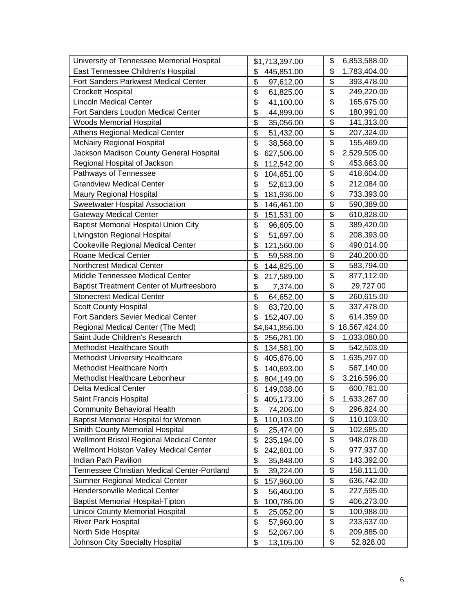| University of Tennessee Memorial Hospital       | \$1,713,397.00   | \$<br>6,853,588.00                     |
|-------------------------------------------------|------------------|----------------------------------------|
| East Tennessee Children's Hospital              | \$<br>445,851.00 | \$<br>1,783,404.00                     |
| Fort Sanders Parkwest Medical Center            | \$<br>97,612.00  | \$<br>393,478.00                       |
| <b>Crockett Hospital</b>                        | \$<br>61,825.00  | \$<br>249,220.00                       |
| <b>Lincoln Medical Center</b>                   | \$<br>41,100.00  | \$<br>165,675.00                       |
| Fort Sanders Loudon Medical Center              | \$<br>44,899.00  | \$<br>180,991.00                       |
| <b>Woods Memorial Hospital</b>                  | \$<br>35,056.00  | \$<br>141,313.00                       |
| <b>Athens Regional Medical Center</b>           | \$<br>51,432.00  | \$<br>207,324.00                       |
| <b>McNairy Regional Hospital</b>                | \$<br>38,568.00  | \$<br>155,469.00                       |
| Jackson Madison County General Hospital         | \$<br>627,506.00 | \$<br>2,529,505.00                     |
| Regional Hospital of Jackson                    | \$<br>112,542.00 | \$<br>453,663.00                       |
| Pathways of Tennessee                           | \$<br>104,651.00 | \$<br>418,604.00                       |
| <b>Grandview Medical Center</b>                 | \$<br>52,613.00  | \$<br>212,084.00                       |
| <b>Maury Regional Hospital</b>                  | \$<br>181,936.00 | \$<br>733,393.00                       |
| <b>Sweetwater Hospital Association</b>          | \$<br>146,461.00 | \$<br>590,389.00                       |
| <b>Gateway Medical Center</b>                   | \$<br>151,531.00 | \$<br>610,828.00                       |
| <b>Baptist Memorial Hospital Union City</b>     | \$<br>96,605.00  | \$<br>389,420.00                       |
| Livingston Regional Hospital                    | \$<br>51,697.00  | \$<br>208,393.00                       |
| <b>Cookeville Regional Medical Center</b>       | \$<br>121,560.00 | \$<br>490,014.00                       |
| Roane Medical Center                            | \$<br>59,588.00  | \$<br>240,200.00                       |
| <b>Northcrest Medical Center</b>                | \$<br>144,825.00 | \$<br>583,794.00                       |
| Middle Tennessee Medical Center                 | \$<br>217,589.00 | \$<br>877,112.00                       |
| <b>Baptist Treatment Center of Murfreesboro</b> | \$<br>7,374.00   | \$<br>29,727.00                        |
| <b>Stonecrest Medical Center</b>                | \$<br>64,652.00  | \$<br>260,615.00                       |
| <b>Scott County Hospital</b>                    | \$<br>83,720.00  | \$<br>337,478.00                       |
| <b>Fort Sanders Sevier Medical Center</b>       | \$<br>152,407.00 | \$<br>614,359.00                       |
| Regional Medical Center (The Med)               | \$4,641,856.00   | \$<br>18,567,424.00                    |
| Saint Jude Children's Research                  | \$<br>256,281.00 | \$<br>1,033,080.00                     |
| Methodist Healthcare South                      | \$<br>134,581.00 | \$<br>542,503.00                       |
| <b>Methodist University Healthcare</b>          | \$<br>405,676.00 | \$<br>1,635,297.00                     |
| <b>Methodist Healthcare North</b>               | \$<br>140,693.00 | \$<br>567,140.00                       |
| Methodist Healthcare Lebonheur                  | \$<br>804,149.00 | \$<br>3,216,596.00                     |
| Delta Medical Center                            | \$<br>149,038.00 | \$<br>600,781.00                       |
| Saint Francis Hospital                          | \$<br>405,173.00 | \$<br>1,633,267.00                     |
| <b>Community Behavioral Health</b>              | \$<br>74,206.00  | \$<br>296,824.00                       |
| <b>Baptist Memorial Hospital for Women</b>      | \$<br>110,103.00 | \$<br>110,103.00                       |
| Smith County Memorial Hospital                  | \$<br>25,474.00  | \$<br>102,685.00                       |
| Wellmont Bristol Regional Medical Center        | \$<br>235,194.00 | \$<br>948,078.00                       |
| Wellmont Holston Valley Medical Center          | \$<br>242,601.00 | \$<br>977,937.00                       |
| <b>Indian Path Pavilion</b>                     | \$<br>35,848.00  | \$<br>143,392.00                       |
| Tennessee Christian Medical Center-Portland     | \$<br>39,224.00  | \$<br>158,111.00                       |
| Sumner Regional Medical Center                  | \$<br>157,960.00 | \$<br>636,742.00                       |
| Hendersonville Medical Center                   | \$<br>56,460.00  | \$<br>227,595.00                       |
| <b>Baptist Memorial Hospital-Tipton</b>         | \$<br>100,786.00 | $\overline{\mathcal{E}}$<br>406,273.00 |
| Unicoi County Memorial Hospital                 | \$<br>25,052.00  | \$<br>100,988.00                       |
| <b>River Park Hospital</b>                      | \$<br>57,960.00  | \$<br>233,637.00                       |
| North Side Hospital                             | \$<br>52,067.00  | \$<br>209,885.00                       |
| Johnson City Specialty Hospital                 | \$<br>13,105.00  | \$<br>52,828.00                        |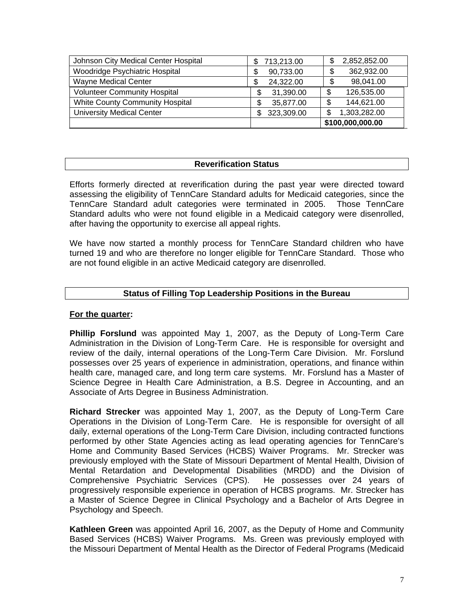| Johnson City Medical Center Hospital | 713,213.00<br>S   | 2,852,852.00       |
|--------------------------------------|-------------------|--------------------|
| Woodridge Psychiatric Hospital       | 90,733.00         | 362,932.00         |
| <b>Wayne Medical Center</b>          | 24,322.00         | 98,041.00          |
| <b>Volunteer Community Hospital</b>  | 31,390.00         | 126,535.00<br>\$.  |
| White County Community Hospital      | 35,877.00         | 144,621.00<br>\$   |
| <b>University Medical Center</b>     | 323,309.00<br>\$. | 1,303,282.00<br>\$ |
|                                      |                   | \$100,000,000.00   |

#### **Reverification Status**

Efforts formerly directed at reverification during the past year were directed toward assessing the eligibility of TennCare Standard adults for Medicaid categories, since the TennCare Standard adult categories were terminated in 2005. Those TennCare Standard adults who were not found eligible in a Medicaid category were disenrolled, after having the opportunity to exercise all appeal rights.

We have now started a monthly process for TennCare Standard children who have turned 19 and who are therefore no longer eligible for TennCare Standard. Those who are not found eligible in an active Medicaid category are disenrolled.

#### **Status of Filling Top Leadership Positions in the Bureau**

#### **For the quarter:**

**Phillip Forslund** was appointed May 1, 2007, as the Deputy of Long-Term Care Administration in the Division of Long-Term Care. He is responsible for oversight and review of the daily, internal operations of the Long-Term Care Division. Mr. Forslund possesses over 25 years of experience in administration, operations, and finance within health care, managed care, and long term care systems. Mr. Forslund has a Master of Science Degree in Health Care Administration, a B.S. Degree in Accounting, and an Associate of Arts Degree in Business Administration.

**Richard Strecker** was appointed May 1, 2007, as the Deputy of Long-Term Care Operations in the Division of Long-Term Care. He is responsible for oversight of all daily, external operations of the Long-Term Care Division, including contracted functions performed by other State Agencies acting as lead operating agencies for TennCare's Home and Community Based Services (HCBS) Waiver Programs. Mr. Strecker was previously employed with the State of Missouri Department of Mental Health, Division of Mental Retardation and Developmental Disabilities (MRDD) and the Division of Comprehensive Psychiatric Services (CPS). He possesses over 24 years of progressively responsible experience in operation of HCBS programs. Mr. Strecker has a Master of Science Degree in Clinical Psychology and a Bachelor of Arts Degree in Psychology and Speech.

**Kathleen Green** was appointed April 16, 2007, as the Deputy of Home and Community Based Services (HCBS) Waiver Programs. Ms. Green was previously employed with the Missouri Department of Mental Health as the Director of Federal Programs (Medicaid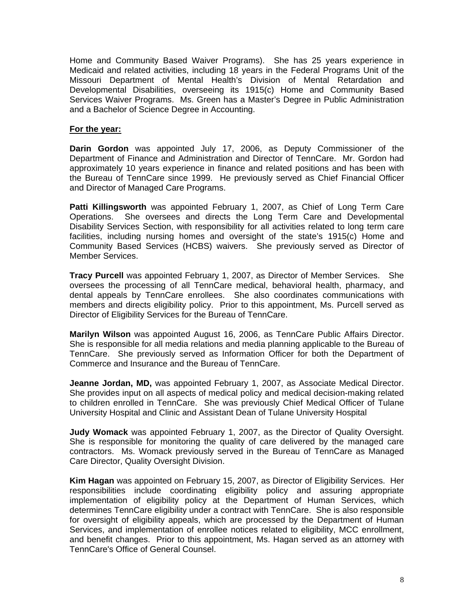Home and Community Based Waiver Programs). She has 25 years experience in Medicaid and related activities, including 18 years in the Federal Programs Unit of the Missouri Department of Mental Health's Division of Mental Retardation and Developmental Disabilities, overseeing its 1915(c) Home and Community Based Services Waiver Programs. Ms. Green has a Master's Degree in Public Administration and a Bachelor of Science Degree in Accounting.

#### **For the year:**

**Darin Gordon** was appointed July 17, 2006, as Deputy Commissioner of the Department of Finance and Administration and Director of TennCare. Mr. Gordon had approximately 10 years experience in finance and related positions and has been with the Bureau of TennCare since 1999. He previously served as Chief Financial Officer and Director of Managed Care Programs.

**Patti Killingsworth** was appointed February 1, 2007, as Chief of Long Term Care Operations. She oversees and directs the Long Term Care and Developmental Disability Services Section, with responsibility for all activities related to long term care facilities, including nursing homes and oversight of the state's 1915(c) Home and Community Based Services (HCBS) waivers. She previously served as Director of Member Services.

**Tracy Purcell** was appointed February 1, 2007, as Director of Member Services. She oversees the processing of all TennCare medical, behavioral health, pharmacy, and dental appeals by TennCare enrollees. She also coordinates communications with members and directs eligibility policy. Prior to this appointment, Ms. Purcell served as Director of Eligibility Services for the Bureau of TennCare.

**Marilyn Wilson** was appointed August 16, 2006, as TennCare Public Affairs Director. She is responsible for all media relations and media planning applicable to the Bureau of TennCare. She previously served as Information Officer for both the Department of Commerce and Insurance and the Bureau of TennCare.

**Jeanne Jordan, MD,** was appointed February 1, 2007, as Associate Medical Director. She provides input on all aspects of medical policy and medical decision-making related to children enrolled in TennCare. She was previously Chief Medical Officer of Tulane University Hospital and Clinic and Assistant Dean of Tulane University Hospital

**Judy Womack** was appointed February 1, 2007, as the Director of Quality Oversight. She is responsible for monitoring the quality of care delivered by the managed care contractors. Ms. Womack previously served in the Bureau of TennCare as Managed Care Director, Quality Oversight Division.

**Kim Hagan** was appointed on February 15, 2007, as Director of Eligibility Services. Her responsibilities include coordinating eligibility policy and assuring appropriate implementation of eligibility policy at the Department of Human Services, which determines TennCare eligibility under a contract with TennCare. She is also responsible for oversight of eligibility appeals, which are processed by the Department of Human Services, and implementation of enrollee notices related to eligibility, MCC enrollment, and benefit changes. Prior to this appointment, Ms. Hagan served as an attorney with TennCare's Office of General Counsel.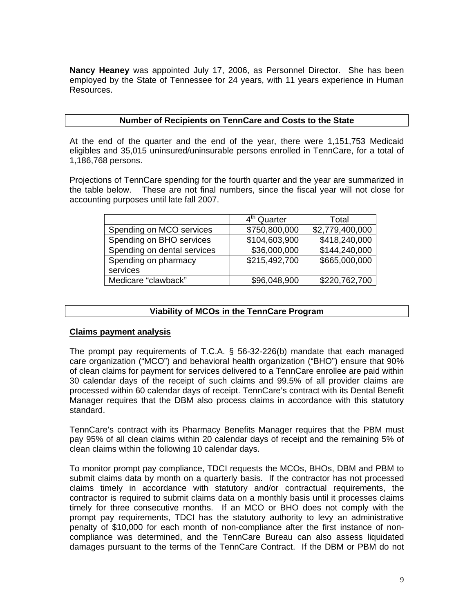**Nancy Heaney** was appointed July 17, 2006, as Personnel Director. She has been employed by the State of Tennessee for 24 years, with 11 years experience in Human Resources.

#### **Number of Recipients on TennCare and Costs to the State**

At the end of the quarter and the end of the year, there were 1,151,753 Medicaid eligibles and 35,015 uninsured/uninsurable persons enrolled in TennCare, for a total of 1,186,768 persons.

Projections of TennCare spending for the fourth quarter and the year are summarized in the table below. These are not final numbers, since the fiscal year will not close for accounting purposes until late fall 2007.

|                             | 4 <sup>th</sup> Quarter | Total           |
|-----------------------------|-------------------------|-----------------|
| Spending on MCO services    | \$750,800,000           | \$2,779,400,000 |
| Spending on BHO services    | \$104,603,900           | \$418,240,000   |
| Spending on dental services | \$36,000,000            | \$144,240,000   |
| Spending on pharmacy        | \$215,492,700           | \$665,000,000   |
| services                    |                         |                 |
| Medicare "clawback"         | \$96,048,900            | \$220,762,700   |

#### **Viability of MCOs in the TennCare Program**

#### **Claims payment analysis**

The prompt pay requirements of T.C.A. § 56-32-226(b) mandate that each managed care organization ("MCO") and behavioral health organization ("BHO") ensure that 90% of clean claims for payment for services delivered to a TennCare enrollee are paid within 30 calendar days of the receipt of such claims and 99.5% of all provider claims are processed within 60 calendar days of receipt. TennCare's contract with its Dental Benefit Manager requires that the DBM also process claims in accordance with this statutory standard.

TennCare's contract with its Pharmacy Benefits Manager requires that the PBM must pay 95% of all clean claims within 20 calendar days of receipt and the remaining 5% of clean claims within the following 10 calendar days.

To monitor prompt pay compliance, TDCI requests the MCOs, BHOs, DBM and PBM to submit claims data by month on a quarterly basis. If the contractor has not processed claims timely in accordance with statutory and/or contractual requirements, the contractor is required to submit claims data on a monthly basis until it processes claims timely for three consecutive months. If an MCO or BHO does not comply with the prompt pay requirements, TDCI has the statutory authority to levy an administrative penalty of \$10,000 for each month of non-compliance after the first instance of noncompliance was determined, and the TennCare Bureau can also assess liquidated damages pursuant to the terms of the TennCare Contract. If the DBM or PBM do not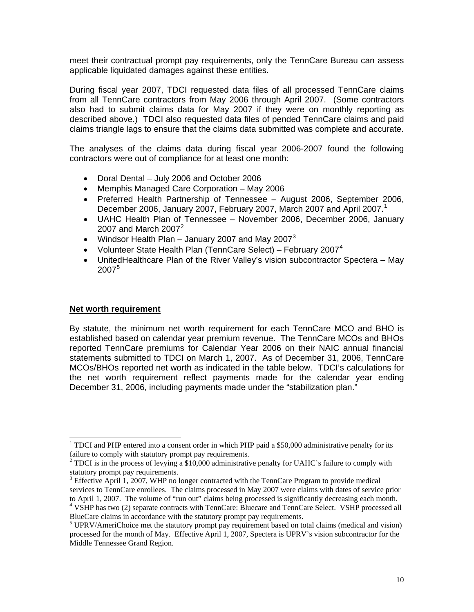meet their contractual prompt pay requirements, only the TennCare Bureau can assess applicable liquidated damages against these entities.

During fiscal year 2007, TDCI requested data files of all processed TennCare claims from all TennCare contractors from May 2006 through April 2007. (Some contractors also had to submit claims data for May 2007 if they were on monthly reporting as described above.) TDCI also requested data files of pended TennCare claims and paid claims triangle lags to ensure that the claims data submitted was complete and accurate.

The analyses of the claims data during fiscal year 2006-2007 found the following contractors were out of compliance for at least one month:

- Doral Dental July 2006 and October 2006
- Memphis Managed Care Corporation May 2006
- Preferred Health Partnership of Tennessee August 2006, September 2006, December 2006, January 2007, February 2007, March 2007 and April 2007.<sup>[1](#page-9-0)</sup>
- UAHC Health Plan of Tennessee November 2006, December 2006, January [2](#page-9-1)007 and March  $2007<sup>2</sup>$
- Windsor Health Plan January 2007 and May 2007<sup>[3](#page-9-2)</sup>
- Volunteer State Health Plan (TennCare Select) February 2007<sup>[4](#page-9-3)</sup>
- UnitedHealthcare Plan of the River Valley's vision subcontractor Spectera May 2007[5](#page-9-4)

#### **Net worth requirement**

 $\overline{\phantom{a}}$ 

By statute, the minimum net worth requirement for each TennCare MCO and BHO is established based on calendar year premium revenue. The TennCare MCOs and BHOs reported TennCare premiums for Calendar Year 2006 on their NAIC annual financial statements submitted to TDCI on March 1, 2007. As of December 31, 2006, TennCare MCOs/BHOs reported net worth as indicated in the table below. TDCI's calculations for the net worth requirement reflect payments made for the calendar year ending December 31, 2006, including payments made under the "stabilization plan."

<span id="page-9-0"></span><sup>&</sup>lt;sup>1</sup> TDCI and PHP entered into a consent order in which PHP paid a \$50,000 administrative penalty for its failure to comply with statutory prompt pay requirements.

<span id="page-9-1"></span> $2^2$  TDCI is in the process of levying a \$10,000 administrative penalty for UAHC's failure to comply with statutory prompt pay requirements.

<span id="page-9-2"></span> $3$  Effective April 1, 2007, WHP no longer contracted with the TennCare Program to provide medical services to TennCare enrollees. The claims processed in May 2007 were claims with dates of service prior to April 1, 2007. The volume of "run out" claims being processed is significantly decreasing each month. 4

<span id="page-9-3"></span><sup>&</sup>lt;sup>4</sup> VSHP has two (2) separate contracts with TennCare: Bluecare and TennCare Select. VSHP processed all BlueCare claims in accordance with the statutory prompt pay requirements.

<span id="page-9-4"></span> $<sup>5</sup> UPRV/AmeriChoice met the statutory prompt pay requirement based on *total* claims ( medical and vision)$ </sup> processed for the month of May. Effective April 1, 2007, Spectera is UPRV's vision subcontractor for the Middle Tennessee Grand Region.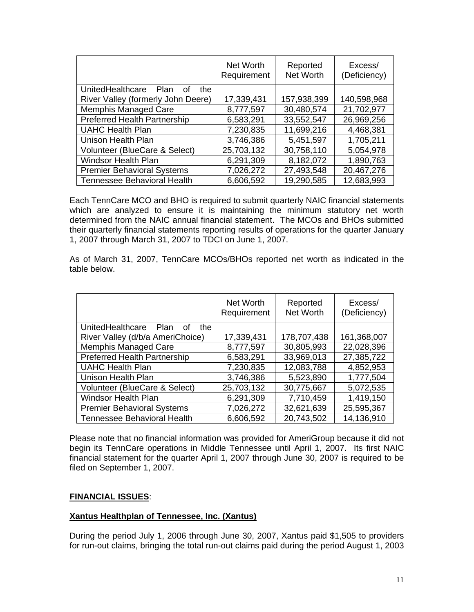|                                       | Net Worth<br>Requirement | Reported<br><b>Net Worth</b> | Excess/<br>(Deficiency) |
|---------------------------------------|--------------------------|------------------------------|-------------------------|
| UnitedHealthcare<br>Plan<br>the<br>0t |                          |                              |                         |
| River Valley (formerly John Deere)    | 17,339,431               | 157,938,399                  | 140,598,968             |
| Memphis Managed Care                  | 8,777,597                | 30,480,574                   | 21,702,977              |
| <b>Preferred Health Partnership</b>   | 6,583,291                | 33,552,547                   | 26,969,256              |
| <b>UAHC Health Plan</b>               | 7,230,835                | 11,699,216                   | 4,468,381               |
| Unison Health Plan                    | 3,746,386                | 5,451,597                    | 1,705,211               |
| Volunteer (BlueCare & Select)         | 25,703,132               | 30,758,110                   | 5,054,978               |
| <b>Windsor Health Plan</b>            | 6,291,309                | 8,182,072                    | 1,890,763               |
| <b>Premier Behavioral Systems</b>     | 7,026,272                | 27,493,548                   | 20,467,276              |
| <b>Tennessee Behavioral Health</b>    | 6,606,592                | 19,290,585                   | 12,683,993              |

Each TennCare MCO and BHO is required to submit quarterly NAIC financial statements which are analyzed to ensure it is maintaining the minimum statutory net worth determined from the NAIC annual financial statement. The MCOs and BHOs submitted their quarterly financial statements reporting results of operations for the quarter January 1, 2007 through March 31, 2007 to TDCI on June 1, 2007.

As of March 31, 2007, TennCare MCOs/BHOs reported net worth as indicated in the table below.

|                                       | Net Worth<br>Requirement | Reported<br><b>Net Worth</b> | Excess/<br>(Deficiency) |
|---------------------------------------|--------------------------|------------------------------|-------------------------|
| UnitedHealthcare<br>Plan<br>the<br>0t |                          |                              |                         |
| River Valley (d/b/a AmeriChoice)      | 17,339,431               | 178,707,438                  | 161,368,007             |
| Memphis Managed Care                  | 8,777,597                | 30,805,993                   | 22,028,396              |
| <b>Preferred Health Partnership</b>   | 6,583,291                | 33,969,013                   | 27,385,722              |
| <b>UAHC Health Plan</b>               | 7,230,835                | 12,083,788                   | 4,852,953               |
| Unison Health Plan                    | 3,746,386                | 5,523,890                    | 1,777,504               |
| Volunteer (BlueCare & Select)         | 25,703,132               | 30,775,667                   | 5,072,535               |
| <b>Windsor Health Plan</b>            | 6,291,309                | 7,710,459                    | 1,419,150               |
| <b>Premier Behavioral Systems</b>     | 7,026,272                | 32,621,639                   | 25,595,367              |
| <b>Tennessee Behavioral Health</b>    | 6,606,592                | 20,743,502                   | 14,136,910              |

Please note that no financial information was provided for AmeriGroup because it did not begin its TennCare operations in Middle Tennessee until April 1, 2007. Its first NAIC financial statement for the quarter April 1, 2007 through June 30, 2007 is required to be filed on September 1, 2007.

#### **FINANCIAL ISSUES**:

#### **Xantus Healthplan of Tennessee, Inc. (Xantus)**

During the period July 1, 2006 through June 30, 2007, Xantus paid \$1,505 to providers for run-out claims, bringing the total run-out claims paid during the period August 1, 2003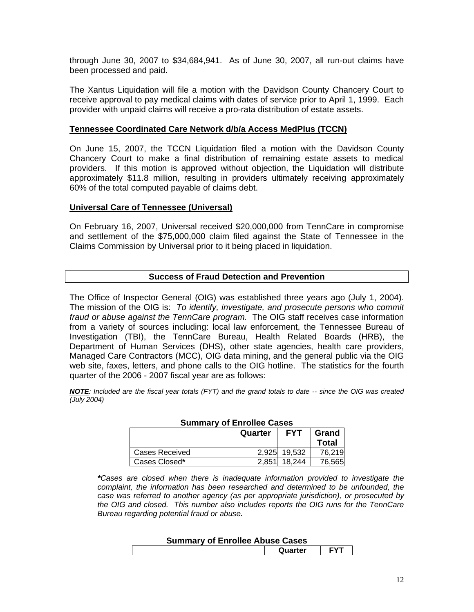through June 30, 2007 to \$34,684,941. As of June 30, 2007, all run-out claims have been processed and paid.

The Xantus Liquidation will file a motion with the Davidson County Chancery Court to receive approval to pay medical claims with dates of service prior to April 1, 1999. Each provider with unpaid claims will receive a pro-rata distribution of estate assets.

#### **Tennessee Coordinated Care Network d/b/a Access MedPlus (TCCN)**

On June 15, 2007, the TCCN Liquidation filed a motion with the Davidson County Chancery Court to make a final distribution of remaining estate assets to medical providers. If this motion is approved without objection, the Liquidation will distribute approximately \$11.8 million, resulting in providers ultimately receiving approximately 60% of the total computed payable of claims debt.

#### **Universal Care of Tennessee (Universal)**

 $\sqrt{ }$ 

On February 16, 2007, Universal received \$20,000,000 from TennCare in compromise and settlement of the \$75,000,000 claim filed against the State of Tennessee in the Claims Commission by Universal prior to it being placed in liquidation.

#### **Success of Fraud Detection and Prevention**

The Office of Inspector General (OIG) was established three years ago (July 1, 2004). The mission of the OIG is: *To identify, investigate, and prosecute persons who commit fraud or abuse against the TennCare program.* The OIG staff receives case information from a variety of sources including: local law enforcement, the Tennessee Bureau of Investigation (TBI), the TennCare Bureau, Health Related Boards (HRB), the Department of Human Services (DHS), other state agencies, health care providers, Managed Care Contractors (MCC), OIG data mining, and the general public via the OIG web site, faxes, letters, and phone calls to the OIG hotline. The statistics for the fourth quarter of the 2006 - 2007 fiscal year are as follows:

*NOTE: Included are the fiscal year totals (FYT) and the grand totals to date -- since the OIG was created (July 2004)* 

| <u> Sanniai I Si Einvilos Suovo</u> |         |              |              |
|-------------------------------------|---------|--------------|--------------|
|                                     | Quarter | <b>FYT</b>   | Grand        |
|                                     |         |              | <b>Total</b> |
| Cases Received                      |         | 2,925 19,532 | 76,219       |
| Cases Closed*                       | 2.851   | 18.244       | 76.565       |

#### **Summary of Enrollee Cases**

*\*Cases are closed when there is inadequate information provided to investigate the complaint, the information has been researched and determined to be unfounded, the case was referred to another agency (as per appropriate jurisdiction), or prosecuted by the OIG and closed. This number also includes reports the OIG runs for the TennCare Bureau regarding potential fraud or abuse.* 

#### **Summary of Enrollee Abuse Cases**

|  |  | Quarter<br>$-$ | $\mathbf{v}$ |
|--|--|----------------|--------------|
|--|--|----------------|--------------|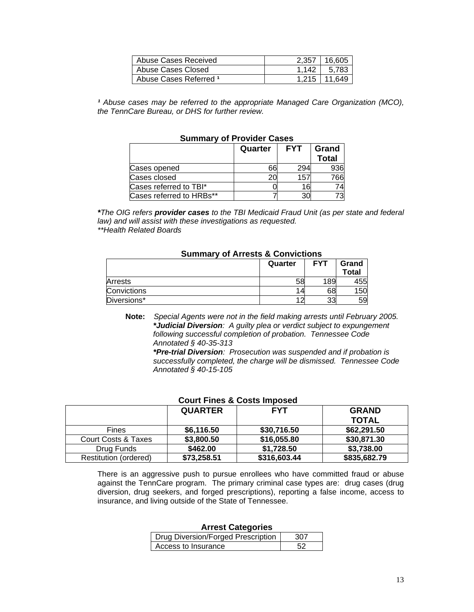| Abuse Cases Received   | 2.357 | 16.605 |
|------------------------|-------|--------|
| Abuse Cases Closed     | 1.142 | 5.783  |
| Abuse Cases Referred 1 | 1.215 | 11.649 |

<sup>1</sup> Abuse cases may be referred to the appropriate Managed Care Organization (MCO), *the TennCare Bureau, or DHS for further review.* 

| OUITIINI V VI I TOVINCI OUJCJ |         |                     |              |  |  |
|-------------------------------|---------|---------------------|--------------|--|--|
|                               | Quarter | <b>FYT</b><br>Grand |              |  |  |
|                               |         |                     | <b>Total</b> |  |  |
| Cases opened                  | 66      | 294                 | 936          |  |  |
| Cases closed                  |         | 157                 | 766          |  |  |
| Cases referred to TBI*        |         |                     |              |  |  |
| Cases referred to HRBs**      |         |                     |              |  |  |

#### **Summary of Provider Cases**

*\*The OIG refers provider cases to the TBI Medicaid Fraud Unit (as per state and federal law) and will assist with these investigations as requested. \*\*Health Related Boards* 

#### **Summary of Arrests & Convictions**

|                | Quarter | <b>FYT</b> | Grand<br>Total |
|----------------|---------|------------|----------------|
| <b>Arrests</b> | 58      | 189        | 455            |
| Convictions    |         | 68         | 150            |
| Diversions*    |         | 33         | 59             |

**Note:** *Special Agents were not in the field making arrests until February 2005. \*Judicial Diversion: A guilty plea or verdict subject to expungement following successful completion of probation. Tennessee Code Annotated § 40-35-313* 

*\*Pre-trial Diversion: Prosecution was suspended and if probation is successfully completed, the charge will be dismissed. Tennessee Code Annotated § 40-15-105* 

#### **Court Fines & Costs Imposed**

|                              | <b>QUARTER</b> | <b>FYT</b>   | <b>GRAND</b> |
|------------------------------|----------------|--------------|--------------|
|                              |                |              | <b>TOTAL</b> |
| Fines                        | \$6,116.50     | \$30,716.50  | \$62,291.50  |
| Court Costs & Taxes          | \$3,800.50     | \$16,055.80  | \$30,871.30  |
| Drug Funds                   | \$462.00       | \$1,728.50   | \$3,738.00   |
| <b>Restitution (ordered)</b> | \$73,258.51    | \$316,603.44 | \$835,682.79 |
|                              |                |              |              |

There is an aggressive push to pursue enrollees who have committed fraud or abuse against the TennCare program. The primary criminal case types are: drug cases (drug diversion, drug seekers, and forged prescriptions), reporting a false income, access to insurance, and living outside of the State of Tennessee.

#### **Arrest Categories**

| Drug Diversion/Forged Prescription |  |
|------------------------------------|--|
| Access to Insurance                |  |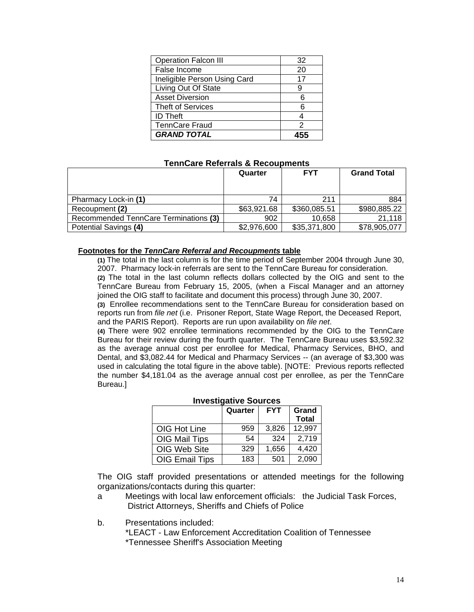| <b>Operation Falcon III</b>  | 32 |
|------------------------------|----|
| False Income                 | 20 |
| Ineligible Person Using Card | 17 |
| Living Out Of State          | 9  |
| <b>Asset Diversion</b>       | 6  |
| <b>Theft of Services</b>     | 6  |
| <b>ID Theft</b>              |    |
| <b>TennCare Fraud</b>        |    |
| <b>GRAND TOTAL</b>           |    |

#### **TennCare Referrals & Recoupments**

|                                       | Quarter     | <b>FYT</b>   | <b>Grand Total</b> |
|---------------------------------------|-------------|--------------|--------------------|
|                                       |             |              |                    |
| Pharmacy Lock-in (1)                  | 74          | 211          | 884                |
| Recoupment (2)                        | \$63,921.68 | \$360,085.51 | \$980,885.22       |
| Recommended TennCare Terminations (3) | 902         | 10,658       | 21,118             |
| Potential Savings (4)                 | \$2,976,600 | \$35,371,800 | \$78,905,077       |

#### **Footnotes for the** *TennCare Referral and Recoupments* **table**

 **(1)** The total in the last column is for the time period of September 2004 through June 30, 2007. Pharmacy lock-in referrals are sent to the TennCare Bureau for consideration.

**(2)** The total in the last column reflects dollars collected by the OIG and sent to the TennCare Bureau from February 15, 2005, (when a Fiscal Manager and an attorney joined the OIG staff to facilitate and document this process) through June 30, 2007.

**(3)** Enrollee recommendations sent to the TennCare Bureau for consideration based on reports run from *file net* (i.e. Prisoner Report, State Wage Report, the Deceased Report, and the PARIS Report). Reports are run upon availability on *file net*.

**(4)** There were 902 enrollee terminations recommended by the OIG to the TennCare Bureau for their review during the fourth quarter. The TennCare Bureau uses \$3,592.32 as the average annual cost per enrollee for Medical, Pharmacy Services, BHO, and Dental, and \$3,082.44 for Medical and Pharmacy Services -- (an average of \$3,300 was used in calculating the total figure in the above table). [NOTE: Previous reports reflected the number \$4,181.04 as the average annual cost per enrollee, as per the TennCare Bureau.]

| <b>IIIVESUGALIVE SUULCES</b> |         |            |                       |  |  |
|------------------------------|---------|------------|-----------------------|--|--|
|                              | Quarter | <b>FYT</b> | Grand<br><b>Total</b> |  |  |
| OIG Hot Line                 | 959     | 3,826      | 12,997                |  |  |
| OIG Mail Tips                | 54      | 324        | 2,719                 |  |  |
| OIG Web Site                 | 329     | 1,656      | 4,420                 |  |  |
| <b>OIG Email Tips</b>        | 183     | 501        | 2,090                 |  |  |

#### **Investigative Sources**

 The OIG staff provided presentations or attended meetings for the following organizations/contacts during this quarter:

- a Meetings with local law enforcement officials: the Judicial Task Forces, District Attorneys, Sheriffs and Chiefs of Police
- b. Presentations included:

 \*LEACT - Law Enforcement Accreditation Coalition of Tennessee \*Tennessee Sheriff's Association Meeting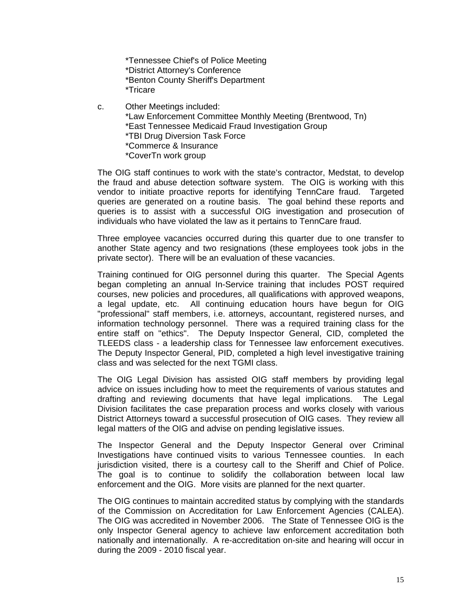\*Tennessee Chief's of Police Meeting \*District Attorney's Conference \*Benton County Sheriff's Department \*Tricare

- c. Other Meetings included:
	- \*Law Enforcement Committee Monthly Meeting (Brentwood, Tn)
	- \*East Tennessee Medicaid Fraud Investigation Group
	- \*TBI Drug Diversion Task Force
	- \*Commerce & Insurance
	- \*CoverTn work group

 The OIG staff continues to work with the state's contractor, Medstat, to develop the fraud and abuse detection software system. The OIG is working with this vendor to initiate proactive reports for identifying TennCare fraud. Targeted queries are generated on a routine basis. The goal behind these reports and queries is to assist with a successful OIG investigation and prosecution of individuals who have violated the law as it pertains to TennCare fraud.

 Three employee vacancies occurred during this quarter due to one transfer to another State agency and two resignations (these employees took jobs in the private sector). There will be an evaluation of these vacancies.

 Training continued for OIG personnel during this quarter. The Special Agents began completing an annual In-Service training that includes POST required courses, new policies and procedures, all qualifications with approved weapons, a legal update, etc. All continuing education hours have begun for OIG "professional" staff members, i.e. attorneys, accountant, registered nurses, and information technology personnel. There was a required training class for the entire staff on "ethics". The Deputy Inspector General, CID, completed the TLEEDS class - a leadership class for Tennessee law enforcement executives. The Deputy Inspector General, PID, completed a high level investigative training class and was selected for the next TGMI class.

 The OIG Legal Division has assisted OIG staff members by providing legal advice on issues including how to meet the requirements of various statutes and drafting and reviewing documents that have legal implications. The Legal Division facilitates the case preparation process and works closely with various District Attorneys toward a successful prosecution of OIG cases. They review all legal matters of the OIG and advise on pending legislative issues.

The Inspector General and the Deputy Inspector General over Criminal Investigations have continued visits to various Tennessee counties. In each jurisdiction visited, there is a courtesy call to the Sheriff and Chief of Police. The goal is to continue to solidify the collaboration between local law enforcement and the OIG. More visits are planned for the next quarter.

The OIG continues to maintain accredited status by complying with the standards of the Commission on Accreditation for Law Enforcement Agencies (CALEA). The OIG was accredited in November 2006. The State of Tennessee OIG is the only Inspector General agency to achieve law enforcement accreditation both nationally and internationally. A re-accreditation on-site and hearing will occur in during the 2009 - 2010 fiscal year.